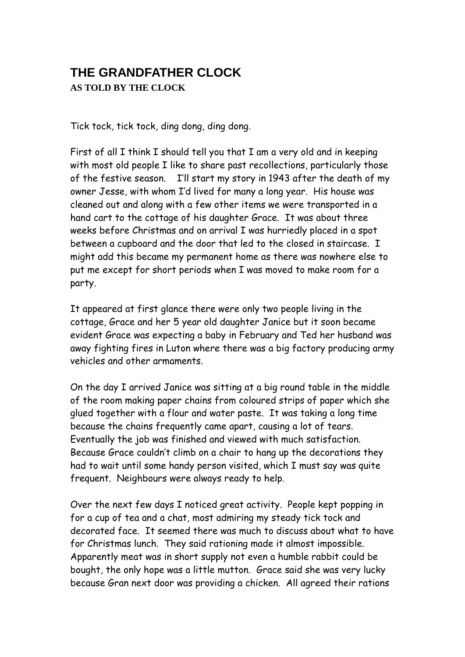## **THE GRANDFATHER CLOCK AS TOLD BY THE CLOCK**

Tick tock, tick tock, ding dong, ding dong.

First of all I think I should tell you that I am a very old and in keeping with most old people I like to share past recollections, particularly those of the festive season. I'll start my story in 1943 after the death of my owner Jesse, with whom I'd lived for many a long year. His house was cleaned out and along with a few other items we were transported in a hand cart to the cottage of his daughter Grace. It was about three weeks before Christmas and on arrival I was hurriedly placed in a spot between a cupboard and the door that led to the closed in staircase. I might add this became my permanent home as there was nowhere else to put me except for short periods when I was moved to make room for a party.

It appeared at first glance there were only two people living in the cottage, Grace and her 5 year old daughter Janice but it soon became evident Grace was expecting a baby in February and Ted her husband was away fighting fires in Luton where there was a big factory producing army vehicles and other armaments.

On the day I arrived Janice was sitting at a big round table in the middle of the room making paper chains from coloured strips of paper which she glued together with a flour and water paste. It was taking a long time because the chains frequently came apart, causing a lot of tears. Eventually the job was finished and viewed with much satisfaction. Because Grace couldn't climb on a chair to hang up the decorations they had to wait until some handy person visited, which I must say was quite frequent. Neighbours were always ready to help.

Over the next few days I noticed great activity. People kept popping in for a cup of tea and a chat, most admiring my steady tick tock and decorated face. It seemed there was much to discuss about what to have for Christmas lunch. They said rationing made it almost impossible. Apparently meat was in short supply not even a humble rabbit could be bought, the only hope was a little mutton. Grace said she was very lucky because Gran next door was providing a chicken. All agreed their rations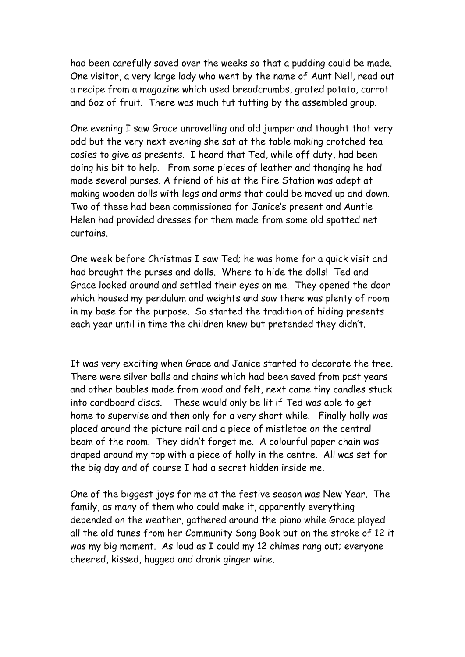had been carefully saved over the weeks so that a pudding could be made. One visitor, a very large lady who went by the name of Aunt Nell, read out a recipe from a magazine which used breadcrumbs, grated potato, carrot and 6oz of fruit. There was much tut tutting by the assembled group.

One evening I saw Grace unravelling and old jumper and thought that very odd but the very next evening she sat at the table making crotched tea cosies to give as presents. I heard that Ted, while off duty, had been doing his bit to help. From some pieces of leather and thonging he had made several purses. A friend of his at the Fire Station was adept at making wooden dolls with legs and arms that could be moved up and down. Two of these had been commissioned for Janice's present and Auntie Helen had provided dresses for them made from some old spotted net curtains.

One week before Christmas I saw Ted; he was home for a quick visit and had brought the purses and dolls. Where to hide the dolls! Ted and Grace looked around and settled their eyes on me. They opened the door which housed my pendulum and weights and saw there was plenty of room in my base for the purpose. So started the tradition of hiding presents each year until in time the children knew but pretended they didn't.

It was very exciting when Grace and Janice started to decorate the tree. There were silver balls and chains which had been saved from past years and other baubles made from wood and felt, next came tiny candles stuck into cardboard discs. These would only be lit if Ted was able to get home to supervise and then only for a very short while. Finally holly was placed around the picture rail and a piece of mistletoe on the central beam of the room. They didn't forget me. A colourful paper chain was draped around my top with a piece of holly in the centre. All was set for the big day and of course I had a secret hidden inside me.

One of the biggest joys for me at the festive season was New Year. The family, as many of them who could make it, apparently everything depended on the weather, gathered around the piano while Grace played all the old tunes from her Community Song Book but on the stroke of 12 it was my big moment. As loud as I could my 12 chimes rang out; everyone cheered, kissed, hugged and drank ginger wine.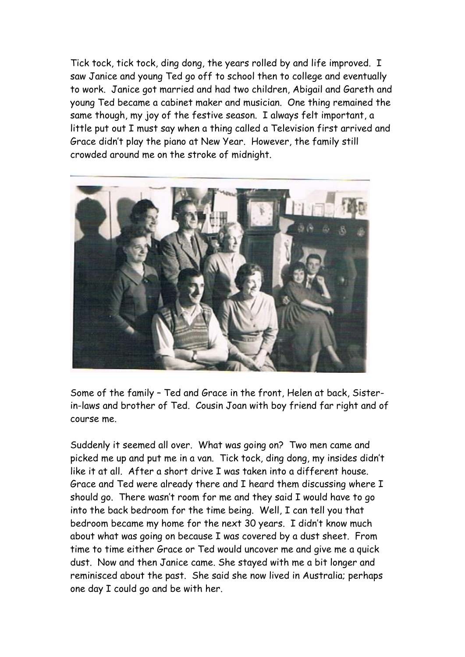Tick tock, tick tock, ding dong, the years rolled by and life improved. I saw Janice and young Ted go off to school then to college and eventually to work. Janice got married and had two children, Abigail and Gareth and young Ted became a cabinet maker and musician. One thing remained the same though, my joy of the festive season. I always felt important, a little put out I must say when a thing called a Television first arrived and Grace didn't play the piano at New Year. However, the family still crowded around me on the stroke of midnight.



Some of the family – Ted and Grace in the front, Helen at back, Sisterin-laws and brother of Ted. Cousin Joan with boy friend far right and of course me.

Suddenly it seemed all over. What was going on? Two men came and picked me up and put me in a van. Tick tock, ding dong, my insides didn't like it at all. After a short drive I was taken into a different house. Grace and Ted were already there and I heard them discussing where I should go. There wasn't room for me and they said I would have to go into the back bedroom for the time being. Well, I can tell you that bedroom became my home for the next 30 years. I didn't know much about what was going on because I was covered by a dust sheet. From time to time either Grace or Ted would uncover me and give me a quick dust. Now and then Janice came. She stayed with me a bit longer and reminisced about the past. She said she now lived in Australia; perhaps one day I could go and be with her.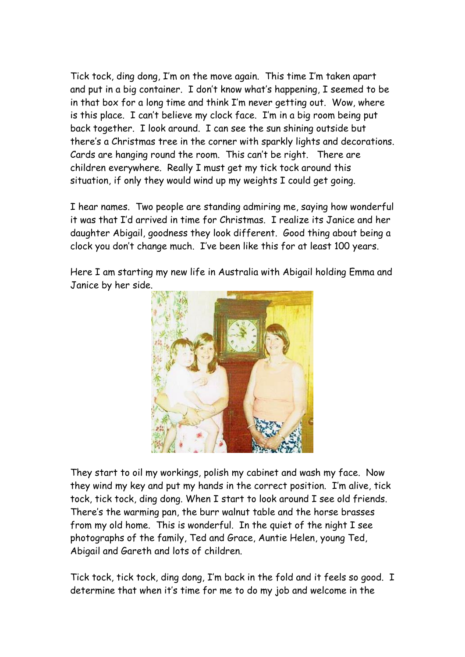Tick tock, ding dong, I'm on the move again. This time I'm taken apart and put in a big container. I don't know what's happening, I seemed to be in that box for a long time and think I'm never getting out. Wow, where is this place. I can't believe my clock face. I'm in a big room being put back together. I look around. I can see the sun shining outside but there's a Christmas tree in the corner with sparkly lights and decorations. Cards are hanging round the room. This can't be right. There are children everywhere. Really I must get my tick tock around this situation, if only they would wind up my weights I could get going.

I hear names. Two people are standing admiring me, saying how wonderful it was that I'd arrived in time for Christmas. I realize its Janice and her daughter Abigail, goodness they look different. Good thing about being a clock you don't change much. I've been like this for at least 100 years.

Here I am starting my new life in Australia with Abigail holding Emma and Janice by her side.



They start to oil my workings, polish my cabinet and wash my face. Now they wind my key and put my hands in the correct position. I'm alive, tick tock, tick tock, ding dong. When I start to look around I see old friends. There's the warming pan, the burr walnut table and the horse brasses from my old home. This is wonderful. In the quiet of the night I see photographs of the family, Ted and Grace, Auntie Helen, young Ted, Abigail and Gareth and lots of children.

Tick tock, tick tock, ding dong, I'm back in the fold and it feels so good. I determine that when it's time for me to do my job and welcome in the